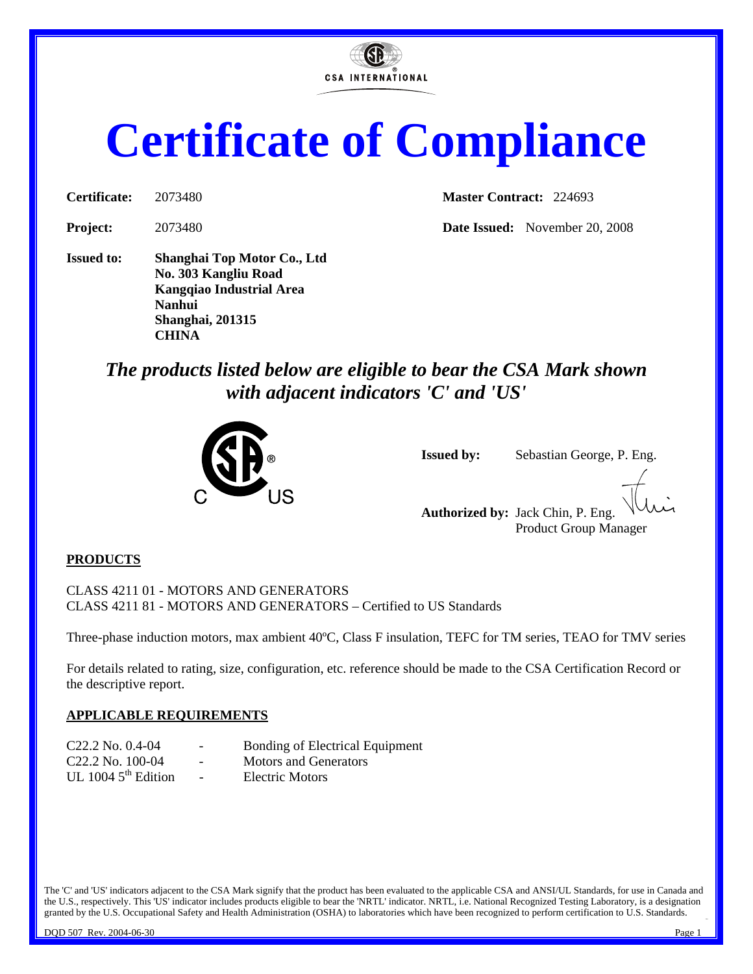**CSA INTERNATIONAL** 

# **Certificate of Compliance**

**Issued to: Shanghai Top Motor Co., Ltd No. 303 Kangliu Road Kangqiao Industrial Area Nanhui Shanghai, 201315 CHINA** 

**Certificate:** 2073480 **Master Contract:** 224693

**Project:** 2073480 **Date Issued:** November 20, 2008

## *The products listed below are eligible to bear the CSA Mark shown with adjacent indicators 'C' and 'US'*



**Issued by:** Sebastian George, P. Eng.

 **Authorized by:** Jack Chin, P. Eng. Product Group Manager

### **PRODUCTS**

CLASS 4211 01 - MOTORS AND GENERATORS CLASS 4211 81 - MOTORS AND GENERATORS – Certified to US Standards

Three-phase induction motors, max ambient 40ºC, Class F insulation, TEFC for TM series, TEAO for TMV series

For details related to rating, size, configuration, etc. reference should be made to the CSA Certification Record or the descriptive report.

#### **APPLICABLE REQUIREMENTS**

| $C22.2$ No. 0.4-04           | $\overline{\phantom{0}}$ | Bonding of Electrical Equipment |
|------------------------------|--------------------------|---------------------------------|
| C <sub>22.2</sub> No. 100-04 | $\overline{\phantom{0}}$ | <b>Motors and Generators</b>    |
| UL 1004 $5th$ Edition        | $\overline{\phantom{a}}$ | Electric Motors                 |

The 'C' and 'US' indicators adjacent to the CSA Mark signify that the product has been evaluated to the applicable CSA and ANSI/UL Standards, for use in Canada and the U.S., respectively. This 'US' indicator includes products eligible to bear the 'NRTL' indicator. NRTL, i.e. National Recognized Testing Laboratory, is a designation granted by the U.S. Occupational Safety and Health Administration (OSHA) to laboratories which have been recognized to perform certification to U.S. Standards.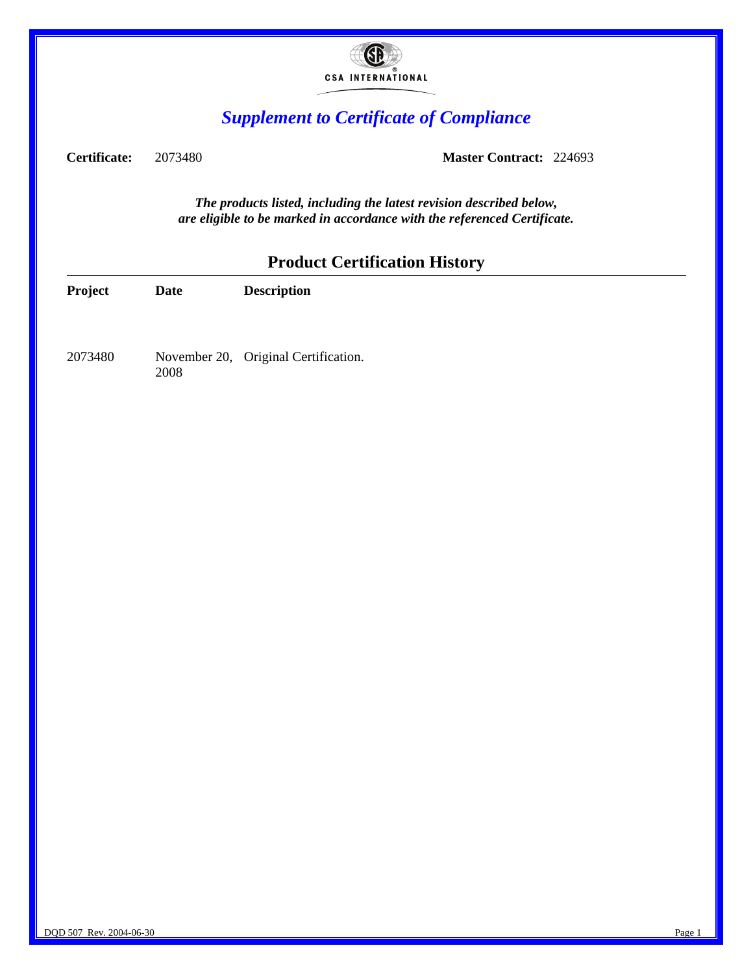

## *Supplement to Certificate of Compliance*

**Certificate:** 2073480 **Master Contract:** 224693

*The products listed, including the latest revision described below, are eligible to be marked in accordance with the referenced Certificate.* 

# **Product Certification History**

**Project Date Description** 

2073480 November 20, Original Certification. 2008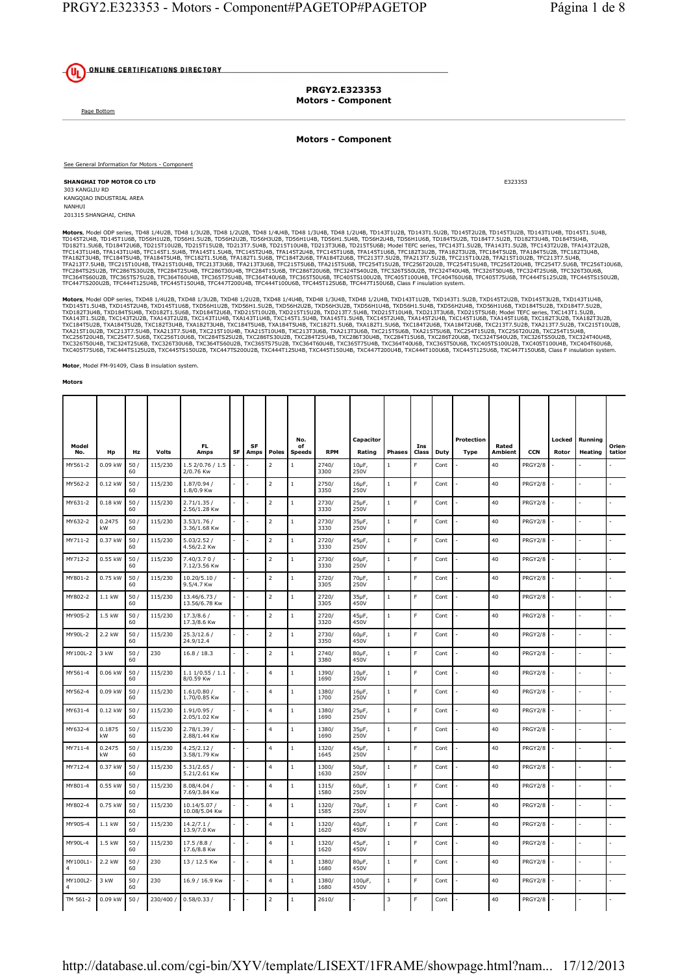**Un** ONLINE CERTIFICATIONS DIRECTORY

**PRGY2.E323353 Motors - Component**

Page Bottom

**Motors - Component**

#### See General Information for Motors - Component

**SHANGHAI TOP MOTOR CO LTD** E323353 303 KANGLIU RD KANGQIAO INDUSTRIAL AREA **NANHUIT** 201315 SHANGHAI, CHINA

**Motors,** Model ODP series, TD48 1/4U2B, TD48 1/3U2B, TD48 1/2U2B, TD48 1/4U4B, TD48 1/3U4B, TD14ST1U2B, TD143T1U2B, TD145T2U2B, TD145T3U2B, TD145T1U4B, TD145T1U5B, TD145T1U4B, TD145T1.5U4B,<br>TD145T2U4B, TD145T1U6B, TD56H1U TFC284TS25U2B, TFC286TS30U2B, TFC284T25U4B, TFC286T30U4B, TFC284T15U6B, TFC286T20U6B, TFC326T550U2B, TFC324T40U4B, TFC326T50U4B, TFC324T25U6B, TFC326T50U6B,<br>TFC364TS60U2B, TFC365TS75U2B, TFC364T60U4B, TFC3645T40U6B, TFC48

**Motors,** Model ODP series, TXD48 1/4U28, TXD48 1/3U28, TXD48 1/4U48, TXD56H3U28, TXD48 1/2U48, TXD56H1U8B, TXD56H1U6B, TXD145T3U28, TXD145T11/08, TXD145T11/06B, TXD56H1U28, TXD56H1U28, TXD56H1U28, TXD56H3U28, TXD56H1U8B,

**Motor**, Model FM-91409, Class B insulation system.

#### **Motors**

| Model<br>No. | Hp           | Hz        | Volts     | FL.<br>Amps                   | SF | <b>SF</b><br>Amps | Poles                   | No.<br>оf<br><b>Speeds</b> | <b>RPM</b>    | Capacitor<br>Rating | <b>Phases</b>  | Ins<br>Class |              | Protection  | Rated<br><b>Ambient</b> | <b>CCN</b> | Locked<br>Rotor | Running<br>Heating | <b>Orien</b><br>tation |
|--------------|--------------|-----------|-----------|-------------------------------|----|-------------------|-------------------------|----------------------------|---------------|---------------------|----------------|--------------|--------------|-------------|-------------------------|------------|-----------------|--------------------|------------------------|
| MY561-2      | 0.09 kW      | 50/       | 115/230   | 1.52/0.76 / 1.5               |    |                   | 2                       | 1                          | 2740/         | $10\mu F$           | 1              | F            | Duty<br>Cont | <b>Type</b> | 40                      | PRGY2/8    |                 |                    |                        |
|              |              | 60        |           | 2/0.76 Kw                     |    |                   |                         |                            | 3300          | 250V                |                |              |              |             |                         |            |                 |                    |                        |
| MY562-2      | 0.12 kW      | 50/<br>60 | 115/230   | 1.87/0.94/<br>1.8/0.9 Kw      |    |                   | $\overline{2}$          | 1                          | 2750/<br>3350 | $16\mu F$<br>250V   | 1              | F            | Cont         |             | 40                      | PRGY2/8    |                 |                    |                        |
| MY631-2      | 0.18 kW      | 50/<br>60 | 115/230   | 2.71/1.35/<br>2.56/1.28 Kw    |    |                   | 2                       | 1                          | 2730/<br>3330 | $25\mu F$<br>250V   | $\mathbf{1}$   | F            | Cont         |             | 40                      | PRGY2/8    |                 |                    |                        |
| MY632-2      | 0.2475<br>kW | 50/<br>60 | 115/230   | 3.53/1.76/<br>3.36/1.68 Kw    |    |                   | 2                       | 1                          | 2730/<br>3330 | $35\mu F$<br>250V   | $\mathbf{1}$   | F            | Cont         |             | 40                      | PRGY2/8    |                 |                    |                        |
| MY711-2      | 0.37 kW      | 50/<br>60 | 115/230   | 5.03/2.52/<br>4.56/2.2 Kw     |    |                   | 2                       | $\mathbf{1}$               | 2720/<br>3330 | $45\mu F$<br>250V   | 1              | F            | Cont         |             | 40                      | PRGY2/8    |                 |                    |                        |
| MY712-2      | 0.55 kW      | 50/<br>60 | 115/230   | 7.40/3.70/<br>7.12/3.56 Kw    |    |                   | 2                       | $1\,$                      | 2730/<br>3330 | $60\mu F$<br>250V   | $\mathbf{1}$   | F            | Cont         |             | 40                      | PRGY2/8    |                 |                    |                        |
| MY801-2      | 0.75 kW      | 50/<br>60 | 115/230   | 10.20/5.10/<br>9.5/4.7 Kw     |    |                   | $\overline{2}$          | $\mathbf{1}$               | 2720/<br>3305 | 70µF,<br>250V       | $\mathbf{1}$   | F            | Cont         |             | 40                      | PRGY2/8    |                 | ÷.                 |                        |
| MY802-2      | 1.1 kW       | 50/<br>60 | 115/230   | 13.46/6.73 /<br>13.56/6.78 Kw |    |                   | $\overline{2}$          | $\mathbf{1}$               | 2720/<br>3305 | 35uF.<br>450V       | $\mathbf{1}$   | F            | Cont         |             | 40                      | PRGY2/8    |                 |                    |                        |
| MY90S-2      | 1.5 kW       | 50/<br>60 | 115/230   | 17.3/8.6/<br>17.3/8.6 Kw      |    |                   | $\overline{2}$          | $\mathbf{1}$               | 2720/<br>3320 | 45µF,<br>450V       | 1              | F            | Cont         |             | 40                      | PRGY2/8    |                 | ÷                  |                        |
| MY90L-2      | 2.2 kW       | 50/<br>60 | 115/230   | 25.3/12.6/<br>24.9/12.4       |    |                   | $\mathbf 2$             | $\mathbf{1}$               | 2730/<br>3350 | $60\mu F$<br>450V   | $\overline{1}$ | F            | Cont         |             | 40                      | PRGY2/8    |                 |                    |                        |
| MY100L-2     | 3 kW         | 50/<br>60 | 230       | 16.8 / 18.3                   |    |                   | $\overline{2}$          | $\mathbf{1}$               | 2740/<br>3380 | $80\mu F$<br>450V   | $\mathbf{1}$   | F.           | Cont         |             | 40                      | PRGY2/8    |                 | ä,                 |                        |
| MY561-4      | 0.06 kW      | 50/<br>60 | 115/230   | 1.11/0.55/1.1<br>8/0.59 Kw    |    |                   | $\overline{\mathbf{4}}$ | $\mathbf{1}$               | 1390/<br>1690 | $10\mu F$<br>250V   | 1              | F            | Cont         |             | 40                      | PRGY2/8    |                 |                    |                        |
| MY562-4      | 0.09 kW      | 50/<br>60 | 115/230   | 1.61/0.80/<br>1.70/0.85 Kw    |    |                   | $\overline{a}$          | 1                          | 1380/<br>1700 | $16\mu F$<br>250V   | 1              | F            | Cont         |             | 40                      | PRGY2/8    |                 |                    |                        |
| MY631-4      | 0.12 kW      | 50/<br>60 | 115/230   | 1.91/0.95/<br>2.05/1.02 Kw    |    |                   | 4                       | $\mathbf{1}$               | 1380/<br>1690 | $25\mu F$<br>250V   | $\mathbf{1}$   | F            | Cont         |             | 40                      | PRGY2/8    |                 |                    |                        |
| MY632-4      | 0.1875<br>kW | 50/<br>60 | 115/230   | 2.78/1.39/<br>2.88/1.44 Kw    |    |                   | 4                       | $\mathbf{1}$               | 1380/<br>1690 | $35\mu F$<br>250V   | $\mathbf{1}$   | F            | Cont         |             | 40                      | PRGY2/8    |                 |                    |                        |
| MY711-4      | 0.2475<br>kW | 50/<br>60 | 115/230   | 4.25/2.12/<br>3.58/1.79 Kw    |    |                   | $\overline{\mathbf{4}}$ | 1                          | 1320/<br>1645 | 45µF,<br>250V       | $\mathbf{1}$   | F            | Cont         |             | 40                      | PRGY2/8    |                 |                    |                        |
| MY712-4      | 0.37 kW      | 50/<br>60 | 115/230   | 5.31/2.65/<br>5.21/2.61 Kw    |    |                   | $\overline{4}$          | $\mathbf{1}$               | 1300/<br>1630 | $50\mu F$<br>250V   | $\mathbf{1}$   | F            | Cont         |             | 40                      | PRGY2/8    |                 |                    |                        |
| MY801-4      | 0.55 kW      | 50/<br>60 | 115/230   | 8.08/4.04/<br>7.69/3.84 Kw    |    |                   | $\overline{4}$          | $\mathbf{1}$               | 1315/<br>1580 | $60\mu F$<br>250V   | 1              | F            | Cont         |             | 40                      | PRGY2/8    |                 | ÷.                 |                        |
| MY802-4      | 0.75 kW      | 50/<br>60 | 115/230   | 10.14/5.07 /<br>10.08/5.04 Kw |    |                   | $\overline{4}$          | $1\,$                      | 1320/<br>1585 | 70µF<br>250V        | $\mathbf{1}$   | F            | Cont         |             | 40                      | PRGY2/8    |                 |                    |                        |
| MY90S-4      | 1.1 kW       | 50/<br>60 | 115/230   | 14.2/7.1/<br>13.9/7.0 Kw      |    |                   | $\overline{4}$          | $\mathbf{1}$               | 1320/<br>1620 | 40µF,<br>450V       | $\mathbf{1}$   | F.           | Cont         |             | 40                      | PRGY2/8    |                 | ä,                 |                        |
| MY90L-4      | 1.5 kW       | 50/<br>60 | 115/230   | 17.5 / 8.8 /<br>17.6/8.8 Kw   |    |                   | $\overline{4}$          | $\mathbf{1}$               | 1320/<br>1620 | 45µF,<br>450V       | $\mathbf{1}$   | F            | Cont         |             | 40                      | PRGY2/8    |                 |                    |                        |
| MY100L1-     | 2.2 kW       | 50/<br>60 | 230       | 13 / 12.5 Kw                  |    |                   | $\overline{4}$          | $\mathbf{1}$               | 1380/<br>1680 | $80\mu F$<br>450V   | $\mathbf{1}$   | F            | Cont         |             | 40                      | PRGY2/8    |                 | L.                 |                        |
| MY100L2-     | 3 kW         | 50/<br>60 | 230       | 16.9 / 16.9 Kw                |    |                   | $\overline{4}$          | $\mathbf{1}$               | 1380/<br>1680 | $100 \mu F$<br>450V | 1              | F            | Cont         |             | 40                      | PRGY2/8    |                 |                    |                        |
| TM 561-2     | 0.09 kW      | 50/       | 230/400 / | 0.58/0.33/                    |    |                   | $\mathbf 2$             | 1                          | 2610/         |                     | 3              | F            | Cont         |             | 40                      | PRGY2/8    |                 |                    |                        |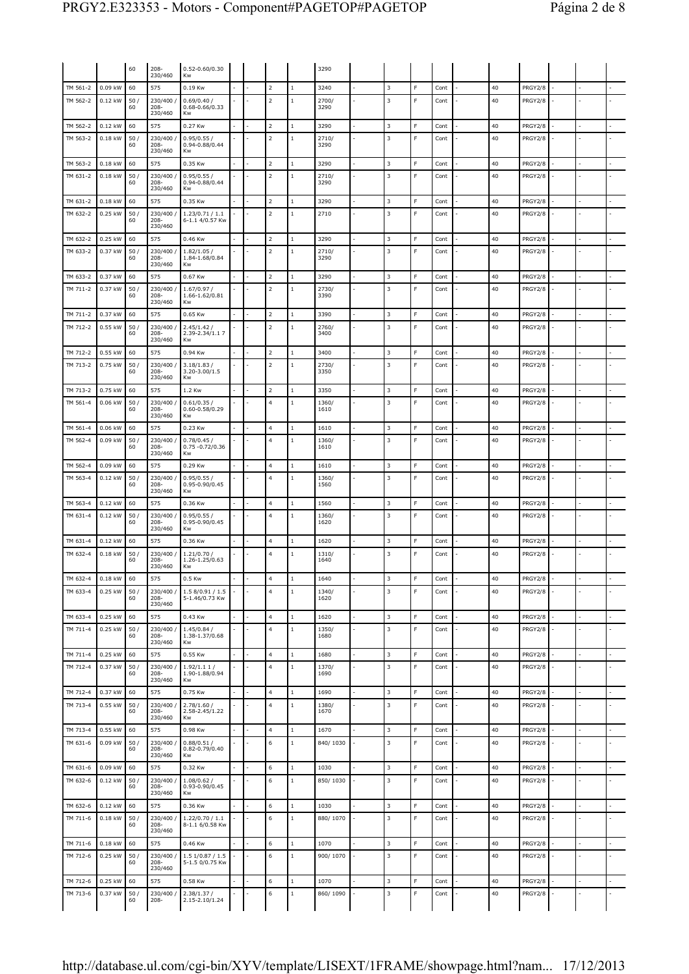|          |           | 60                    | $208 -$<br>230/460              | $0.52 - 0.60 / 0.30$<br>Kw               |  |                |              | 3290          |   |             |      |    |         |    |    |
|----------|-----------|-----------------------|---------------------------------|------------------------------------------|--|----------------|--------------|---------------|---|-------------|------|----|---------|----|----|
| TM 561-2 | 0.09 kW   | 60                    | 575                             | 0.19 Kw                                  |  | $\overline{2}$ | $\mathbf{1}$ | 3240          | 3 | F           | Cont | 40 | PRGY2/8 | ä, |    |
| TM 562-2 | $0.12$ kW | 50/<br>60             | 230/400<br>$208 -$<br>230/460   | 0.69/0.40/<br>$0.68 - 0.66 / 0.33$<br>Kw |  | 2              | 1            | 2700/<br>3290 | 3 | F           | Cont | 40 | PRGY2/8 |    |    |
| TM 562-2 | $0.12$ kW | 60                    | 575                             | 0.27 Kw                                  |  | $\overline{2}$ | 1            | 3290          | 3 | F           | Cont | 40 | PRGY2/8 | ÷. |    |
| TM 563-2 | $0.18$ kW | 50/<br>60             | 230/400<br>$208 -$<br>230/460   | 0.95/0.55/<br>0.94-0.88/0.44<br>Kw       |  | $\overline{2}$ | $\mathbf{1}$ | 2710/<br>3290 | 3 | E           | Cont | 40 | PRGY2/8 |    |    |
| TM 563-2 | $0.18$ kW | 60                    | 575                             | 0.35 Kw                                  |  | $\overline{2}$ | 1            | 3290          | 3 | $\mathsf F$ | Cont | 40 | PRGY2/8 | ÷. |    |
| TM 631-2 | 0.18 kW   | 50/                   | 230/400                         | 0.95/0.55/                               |  | $\overline{2}$ | $\mathbf{1}$ | 2710/         | 3 | $\mathsf F$ | Cont | 40 | PRGY2/8 |    |    |
|          |           | 60                    | 208-<br>230/460                 | 0.94-0.88/0.44<br>Kw                     |  |                |              | 3290          |   |             |      |    |         |    |    |
| TM 631-2 | 0.18 kW   | 60                    | 575                             | 0.35 Kw                                  |  | 2              | 1            | 3290          | 3 | F           | Cont | 40 | PRGY2/8 |    |    |
| TM 632-2 | 0.25 kW   | 50 <sub>1</sub><br>60 | 230/400 /<br>208-<br>230/460    | 1.23/0.71/1.1<br>6-1.1 4/0.57 Kw         |  | $\overline{2}$ | $\mathbf{1}$ | 2710          | 3 | F           | Cont | 40 | PRGY2/8 |    |    |
| TM 632-2 | 0.25 kW   | 60                    | 575                             | 0.46 Kw                                  |  | 2              | $\mathbf{1}$ | 3290          | 3 | F           | Cont | 40 | PRGY2/8 |    |    |
| TM 633-2 | 0.37 kW   | 50/<br>60             | 230/400 /<br>$208 -$<br>230/460 | 1.82/1.05/<br>1.84-1.68/0.84<br>Kw       |  | 2              | 1            | 2710/<br>3290 | 3 | F           | Cont | 40 | PRGY2/8 |    |    |
| TM 633-2 | 0.37 kW   | 60                    | 575                             | 0.67 Kw                                  |  | $\overline{2}$ | $\mathbf{1}$ | 3290          | 3 | F           | Cont | 40 | PRGY2/8 |    |    |
| TM 711-2 | 0.37 kW   | 50/<br>60             | 230/400<br>$208 -$<br>230/460   | 1.67/0.97/<br>1.66-1.62/0.81<br>Kw       |  | 2              | 1            | 2730/<br>3390 | 3 | F           | Cont | 40 | PRGY2/8 |    |    |
| TM 711-2 | 0.37 kW   | 60                    | 575                             | 0.65 Kw                                  |  | $\overline{2}$ | $\mathbf{1}$ | 3390          | 3 | F           | Cont | 40 | PRGY2/8 |    |    |
| TM 712-2 | 0.55 kW   | 50/<br>60             | 230/400<br>$208 -$<br>230/460   | 2.45/1.42/<br>2.39-2.34/1.17<br>Kw       |  | $\overline{2}$ | $\mathbf{1}$ | 2760/<br>3400 | 3 | F           | Cont | 40 | PRGY2/8 |    |    |
| TM 712-2 | 0.55 kW   | 60                    | 575                             | 0.94 Kw                                  |  | 2              | 1            | 3400          | 3 | F           | Cont | 40 | PRGY2/8 |    |    |
| TM 713-2 | 0.75 kW   | 50/<br>60             | 230/400 /<br>$208 -$<br>230/460 | 3.18/1.83/<br>3.20-3.00/1.5<br>Kw        |  | $\overline{2}$ | $\mathbf{1}$ | 2730/<br>3350 | 3 | F           | Cont | 40 | PRGY2/8 |    |    |
| TM 713-2 | 0.75 kW   | 60                    | 575                             | 1.2 Kw                                   |  | $\overline{2}$ | 1            | 3350          | 3 | F.          | Cont | 40 | PRGY2/8 |    |    |
| TM 561-4 | 0.06 kW   | 50/<br>60             | 230/400 /<br>$208 -$<br>230/460 | 0.61/0.35/<br>$0.60 - 0.58/0.29$<br>Kw   |  | 4              | 1            | 1360/<br>1610 | 3 | F           | Cont | 40 | PRGY2/8 |    |    |
| TM 561-4 | 0.06 kW   | 60                    | 575                             | 0.23 Kw                                  |  | $\overline{4}$ | $\mathbf{1}$ | 1610          | 3 | F           | Cont | 40 | PRGY2/8 | J. |    |
| TM 562-4 | 0.09 kW   | 50/<br>60             | 230/400 /<br>$208 -$<br>230/460 | 0.78/0.45/<br>$0.75 - 0.72/0.36$<br>Kw   |  | 4              | 1            | 1360/<br>1610 | 3 | F           | Cont | 40 | PRGY2/8 |    |    |
| TM 562-4 | 0.09 kW   | 60                    | 575                             | 0.29 Kw                                  |  | $\overline{4}$ | 1            | 1610          | 3 | F           | Cont | 40 | PRGY2/8 | ä, | ÷  |
| TM 563-4 | $0.12$ kW | 50/<br>60             | 230/400<br>$208 -$              | 0.95/0.55/<br>0.95-0.90/0.45             |  | $\overline{4}$ | 1            | 1360/<br>1560 | 3 | F           | Cont | 40 | PRGY2/8 |    |    |
|          |           |                       | 230/460                         | Kw                                       |  |                |              |               |   |             |      |    |         |    |    |
| TM 563-4 | 0.12 kW   | 60                    | 575                             | 0.36 Kw                                  |  | 4              | $\mathbf{1}$ | 1560          | 3 | F           | Cont | 40 | PRGY2/8 | ÷. |    |
| TM 631-4 | 0.12 kW   | 50/<br>60             | 230/400 /<br>208-<br>230/460    | 0.95/0.55/<br>0.95-0.90/0.45<br>Kw       |  | $\overline{4}$ | $\mathbf{1}$ | 1360/<br>1620 | 3 | F           | Cont | 40 | PRGY2/8 |    |    |
| TM 631-4 | 0.12 kW   | 60                    | 575                             | 0.36 Kw                                  |  | 4              | 1            | 1620          | 3 | F           | Cont | 40 | PRGY2/8 |    |    |
| TM 632-4 | $0.18$ kW | 50 <sub>1</sub><br>60 | 230/400<br>208-<br>230/460      | 1.21/0.70/<br>1.26-1.25/0.63<br>Kw       |  | $\overline{4}$ | $\mathbf{1}$ | 1310/<br>1640 | 3 | F           | Cont | 40 | PRGY2/8 |    |    |
| TM 632-4 | $0.18$ kW | 60                    | 575                             | 0.5 Kw                                   |  |                | 1            | 1640          | 3 |             | Cont | 40 | PRGY2/8 |    |    |
| TM 633-4 | 0.25 kW   | 50/<br>60             | 230/400 /<br>$208 -$            | 1.58/0.91 / 1.5<br>5-1.46/0.73 Kw        |  | $\overline{4}$ | 1            | 1340/<br>1620 | 3 | F           | Cont | 40 | PRGY2/8 |    |    |
| TM 633-4 | 0.25 kW   | 60                    | 230/460<br>575                  | 0.43 Kw                                  |  | 4              | $\mathbf{1}$ | 1620          | 3 | F           | Cont | 40 | PRGY2/8 |    |    |
| TM 711-4 | 0.25 kW   | 50/                   | 230/400 /                       | 1.45/0.84/                               |  | $\overline{4}$ | $\,1\,$      | 1350/         | 3 | F           | Cont | 40 | PRGY2/8 |    |    |
|          |           | 60                    | $208 -$<br>230/460              | 1.38-1.37/0.68<br>Kw                     |  |                |              | 1680          |   |             |      |    |         |    |    |
| TM 711-4 | 0.25 kW   | 60                    | 575                             | 0.55 Kw                                  |  | $\overline{4}$ | $\,1$        | 1680          | 3 | $\mathsf F$ | Cont | 40 | PRGY2/8 |    |    |
| TM 712-4 | 0.37 kW   | 50/<br>60             | 230/400 /<br>208-<br>230/460    | 1.92/1.11/<br>1.90-1.88/0.94<br>Kw       |  | $\overline{4}$ | $\,1\,$      | 1370/<br>1690 | 3 | F           | Cont | 40 | PRGY2/8 | J. |    |
| TM 712-4 | 0.37 kW   | 60                    | 575                             | 0.75 Kw                                  |  | 4              | 1            | 1690          | 3 | F           | Cont | 40 | PRGY2/8 |    |    |
| TM 713-4 | 0.55 kW   | 50/<br>60             | 230/400 /<br>$208 -$<br>230/460 | 2.78/1.60/<br>2.58-2.45/1.22<br>Kw       |  | $\overline{4}$ | 1            | 1380/<br>1670 | 3 | F           | Cont | 40 | PRGY2/8 |    | ×, |
| TM 713-4 | 0.55 kW   | 60                    | 575                             | 0.98 Kw                                  |  | $\overline{4}$ | $\mathbf{1}$ | 1670          | 3 | F           | Cont | 40 | PRGY2/8 | ä, |    |
| TM 631-6 | 0.09 kW   | 50/<br>60             | 230/400 /<br>208-<br>230/460    | 0.88/0.51/<br>$0.82 - 0.79 / 0.40$<br>Kw |  | 6              | $\mathbf 1$  | 840/1030      | 3 | F           | Cont | 40 | PRGY2/8 | ÷. |    |
| TM 631-6 | 0.09 kW   | 60                    | 575                             | 0.32 Kw                                  |  | 6              | $\mathbf{1}$ | 1030          | 3 | F           | Cont | 40 | PRGY2/8 | ä, | ä, |
| TM 632-6 | $0.12$ kW | 50/<br>60             | 230/400 /<br>$208 -$<br>230/460 | 1.08/0.62/<br>0.93-0.90/0.45<br>Kw       |  | 6              | 1            | 850/1030      | 3 | F           | Cont | 40 | PRGY2/8 |    |    |
| TM 632-6 | 0.12 kW   | 60                    | 575                             | 0.36 Kw                                  |  | 6              | $\mathbf{1}$ | 1030          | 3 | F           | Cont | 40 | PRGY2/8 | ×. | ÷. |
| TM 711-6 | $0.18$ kW | 50/<br>60             | 230/400<br>$208 -$<br>230/460   | 1.22/0.70 / 1.1<br>8-1.1 6/0.58 Kw       |  | 6              | $\mathbf 1$  | 880/1070      | 3 | F           | Cont | 40 | PRGY2/8 |    |    |
| TM 711-6 | $0.18$ kW | 60                    | 575                             | 0.46 Kw                                  |  | 6              | $\mathbf{1}$ | 1070          | 3 | F           | Cont | 40 | PRGY2/8 | ×. | ÷. |
| TM 712-6 | 0.25 kW   | 50/<br>60             | 230/400 /<br>208-<br>230/460    | 1.51/0.87/1.5<br>5-1.5 0/0.75 Kw         |  | 6              | $\mathbf 1$  | 900/1070      | 3 | $\mathsf F$ | Cont | 40 | PRGY2/8 |    |    |
| TM 712-6 | 0.25 kW   | 60                    | 575                             | 0.58 Kw                                  |  | 6              | $\mathbf{1}$ | 1070          | 3 | F           | Cont | 40 | PRGY2/8 | ٠  |    |
| TM 713-6 | 0.37 kW   | 50/<br>60             | 230/400 /<br>$208 -$            | 2.38/1.37/<br>2.15-2.10/1.24             |  | 6              | $\mathbf 1$  | 860/1090      | 3 | $\mathsf F$ | Cont | 40 | PRGY2/8 | ä, |    |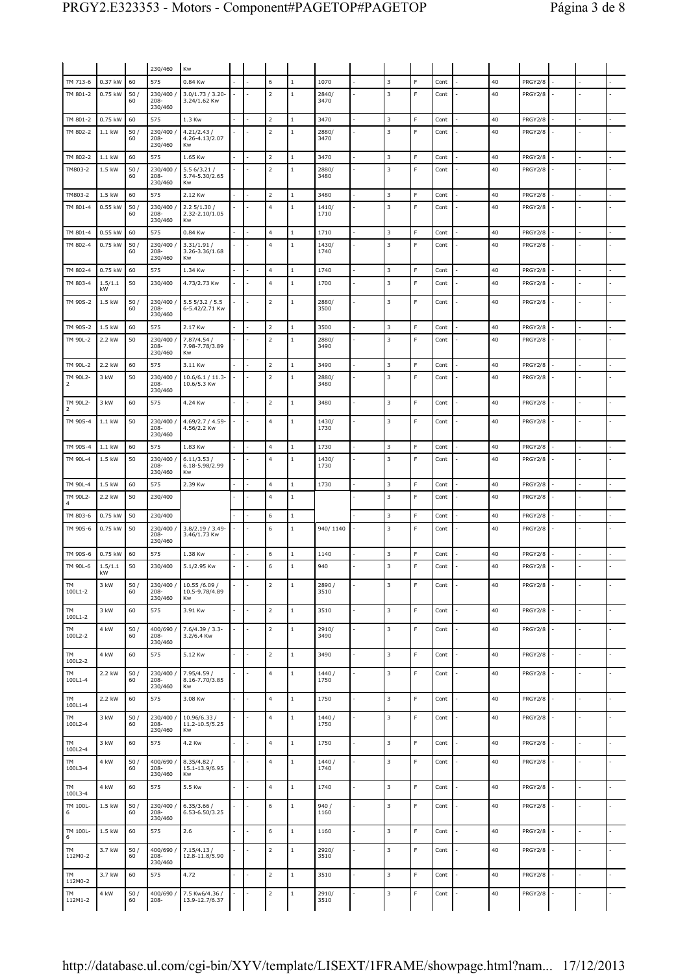|                            |               |           | 230/460                         | Kw                                     |    |                          |                         |              |                |    |   |             |      |    |         |  |    |
|----------------------------|---------------|-----------|---------------------------------|----------------------------------------|----|--------------------------|-------------------------|--------------|----------------|----|---|-------------|------|----|---------|--|----|
| TM 713-6                   | 0.37 kW       | 60        | 575                             | 0.84 Kw                                |    |                          | 6                       | $1\,$        | 1070           |    | 3 | F           | Cont | 40 | PRGY2/8 |  |    |
| TM 801-2                   | 0.75 kW       | 50/<br>60 | 230/400 /<br>208-<br>230/460    | 3.0/1.73 / 3.20<br>3.24/1.62 Kw        |    | ä,                       | $\overline{2}$          | $\mathbf{1}$ | 2840/<br>3470  | ä, | 3 | F           | Cont | 40 | PRGY2/8 |  |    |
| TM 801-2                   | 0.75 kW       | 60        | 575                             | 1.3 Kw                                 |    |                          | 2                       | 1            | 3470           |    | 3 | F           | Cont | 40 | PRGY2/8 |  |    |
| TM 802-2                   | 1.1 kW        | 50/<br>60 | 230/400<br>$208 -$<br>230/460   | 4.21/2.43/<br>4.26-4.13/2.07<br>Kw     |    |                          | $\overline{2}$          | $\,1\,$      | 2880/<br>3470  |    | 3 | F           | Cont | 40 | PRGY2/8 |  |    |
| TM 802-2                   | 1.1 kW        | 60        | 575                             | 1.65 Kw                                |    |                          | $\overline{2}$          | $\mathbf{1}$ | 3470           |    | 3 | F           | Cont | 40 | PRGY2/8 |  |    |
| TM803-2                    | 1.5 kW        | 50/<br>60 | 230/400 /<br>$208 -$<br>230/460 | 5.56/3.21/<br>5.74-5.30/2.65<br>Kw     |    |                          | 2                       | 1            | 2880/<br>3480  |    | 3 | F           | Cont | 40 | PRGY2/8 |  |    |
| TM803-2                    | 1.5 kW        | 60        | 575                             | 2.12 Kw                                |    |                          | 2                       | $\mathbf{1}$ | 3480           |    | 3 | F           | Cont | 40 | PRGY2/8 |  |    |
| TM 801-4                   | 0.55 kW       | 50/<br>60 | 230/400<br>$208 -$<br>230/460   | 2.25/1.30/<br>2.32-2.10/1.05<br>Kw     |    |                          | $\overline{4}$          | $\mathbf{1}$ | 1410/<br>1710  |    | 3 | F           | Cont | 40 | PRGY2/8 |  |    |
| TM 801-4                   | 0.55 kW       | 60        | 575                             | 0.84 Kw                                |    |                          | $\overline{4}$          | $\mathbf{1}$ | 1710           | L. | 3 | F           | Cont | 40 | PRGY2/8 |  | ä, |
| TM 802-4                   | 0.75 kW       | 50/<br>60 | 230/400 /<br>$208 -$<br>230/460 | 3.31/1.91/<br>3.26-3.36/1.68<br>Kw     |    |                          | 4                       | $\,$ 1       | 1430/<br>1740  |    | 3 | F           | Cont | 40 | PRGY2/8 |  |    |
| TM 802-4                   | 0.75 kW       | 60        | 575                             | 1.34 Kw                                |    |                          | 4                       | 1            | 1740           |    | 3 | F           | Cont | 40 | PRGY2/8 |  |    |
| TM 803-4                   | 1.5/1.1<br>kW | 50        | 230/400                         | 4.73/2.73 Kw                           |    |                          | $\overline{4}$          | $1\,$        | 1700           |    | 3 | F           | Cont | 40 | PRGY2/8 |  |    |
| TM 90S-2                   | 1.5 kW        | 50/<br>60 | 230/400 /<br>$208 -$<br>230/460 | 5.55/3.2 / 5.5<br>6-5.42/2.71 Kw       |    | ä,                       | 2                       | 1            | 2880/<br>3500  | ٠  | 3 | F           | Cont | 40 | PRGY2/8 |  |    |
| TM 90S-2                   | 1.5 kW        | 60        | 575                             | 2.17 Kw                                |    |                          | 2                       | $\mathbf{1}$ | 3500           | ä, | 3 | F           | Cont | 40 | PRGY2/8 |  |    |
| TM 90L-2                   | 2.2 kW        | 50        | 230/400<br>$208 -$<br>230/460   | 7.87/4.54/<br>7.98-7.78/3.89<br>Kw     |    |                          | 2                       | 1            | 2880/<br>3490  |    | 3 | F           | Cont | 40 | PRGY2/8 |  |    |
| TM 90L-2                   | 2.2 kW        | 60        | 575                             | 3.11 Kw                                |    |                          | $\overline{2}$          | $\mathbf{1}$ | 3490           | ä, | 3 | F           | Cont | 40 | PRGY2/8 |  | ä, |
| TM 90L2-<br>2              | 3 kW          | 50        | 230/400 /<br>$208 -$<br>230/460 | 10.6/6.1 / 11.3<br>10.6/5.3 Kw         |    |                          | $\overline{2}$          | 1            | 2880/<br>3480  |    | 3 | F           | Cont | 40 | PRGY2/8 |  |    |
| TM 90L2-<br>2              | 3 kW          | 60        | 575                             | 4.24 Kw                                | ÷. | ä,                       | $\overline{2}$          | $\mathbf{1}$ | 3480           | ÷. | 3 | F           | Cont | 40 | PRGY2/8 |  |    |
| TM 90S-4                   | 1.1 kW        | 50        | 230/400<br>208-<br>230/460      | $4.69/2.7/4.59$ -<br>4.56/2.2 Kw       |    |                          | $\overline{4}$          | 1            | 1430/<br>1730  |    | 3 | F           | Cont | 40 | PRGY2/8 |  |    |
| TM 90S-4                   | 1.1 kW        | 60        | 575                             | 1.83 Kw                                |    |                          | $\overline{a}$          | 1            | 1730           |    | 3 | F           | Cont | 40 | PRGY2/8 |  |    |
| TM 90L-4                   | 1.5 kW        | 50        | 230/400 /<br>$208 -$<br>230/460 | 6.11/3.53/<br>6.18-5.98/2.99<br>Kw     |    |                          | $\overline{a}$          | 1            | 1430/<br>1730  |    | 3 | E           | Cont | 40 | PRGY2/8 |  |    |
| TM 90L-4                   | 1.5 kW        | 60        | 575                             | 2.39 Kw                                |    |                          | 4                       | $1\,$        | 1730           |    | 3 | F           | Cont | 40 | PRGY2/8 |  |    |
| TM 90L2-<br>$\overline{4}$ | 2.2 kW        | 50        | 230/400                         |                                        |    |                          | $\overline{4}$          | $\mathbf{1}$ |                |    | 3 | F           | Cont | 40 | PRGY2/8 |  |    |
| TM 803-6                   | 0.75 kW       | 50        | 230/400                         |                                        |    |                          | 6                       | $\mathbf{1}$ |                |    | 3 | F           | Cont | 40 | PRGY2/8 |  |    |
| TM 90S-6                   | 0.75 kW       | 50        | 230/400 /<br>$208 -$<br>230/460 | 3.8/2.19 / 3.49<br>3.46/1.73 Kw        |    |                          | 6                       | 1            | 940/1140       |    | 3 | E           | Cont | 40 | PRGY2/8 |  |    |
| TM 90S-6                   | 0.75 kW       | 60        | 575                             | 1.38 Kw                                |    |                          | 6                       | $\mathbf{1}$ | 1140           |    | 3 | F           | Cont | 40 | PRGY2/8 |  |    |
| TM 90L-6                   | 1.5/1.1<br>kW | 50        | 230/400                         | 5.1/2.95 Kw                            |    |                          | 6                       | $\mathbf{1}$ | 940            |    | 3 | F           | Cont | 40 | PRGY2/8 |  |    |
| <b>TM</b><br>100L1-2       | 3 kW          | 50/<br>60 | 230/400 /<br>208-<br>230/460    | 10.55 / 6.09 /<br>10.5-9.78/4.89<br>Kw |    |                          | $\overline{2}$          | $\,$ 1 $\,$  | 2890 /<br>3510 |    | 3 | F           | Cont | 40 | PRGY2/8 |  |    |
| TM<br>100L1-2              | 3 kW          | 60        | 575                             | 3.91 Kw                                |    | ٠                        | $\overline{2}$          | $\mathbf{1}$ | 3510           | ×, | 3 | F           | Cont | 40 | PRGY2/8 |  |    |
| TM<br>100L2-2              | 4 kW          | 50/<br>60 | 400/690 /<br>$208 -$<br>230/460 | $7.6/4.39 / 3.3$ -<br>3.2/6.4 Kw       |    |                          | $\overline{2}$          | $\mathbf{1}$ | 2910/<br>3490  |    | 3 | F           | Cont | 40 | PRGY2/8 |  |    |
| <b>TM</b><br>100L2-2       | 4 kW          | 60        | 575                             | 5.12 Kw                                |    |                          | $\mathbf 2$             | $\mathbf 1$  | 3490           | i, | 3 | F           | Cont | 40 | PRGY2/8 |  |    |
| TM<br>100L1-4              | 2.2 kW        | 50/<br>60 | 230/400 /<br>$208 -$<br>230/460 | 7.95/4.59 /<br>8.16-7.70/3.85<br>Kw    |    | $\overline{\phantom{a}}$ | $\overline{4}$          | $1\,$        | 1440/<br>1750  | ×, | 3 | F           | Cont | 40 | PRGY2/8 |  | ÷, |
| TM<br>100L1-4              | 2.2 kW        | 60        | 575                             | 3.08 Kw                                |    |                          | $\overline{4}$          | $\mathbf{1}$ | 1750           | ä, | 3 | F           | Cont | 40 | PRGY2/8 |  |    |
| TM<br>100L2-4              | 3 kW          | 50/<br>60 | 230/400<br>$208 -$<br>230/460   | 10.96/6.33/<br>11.2-10.5/5.25<br>Kw    |    | ٠                        | $\overline{\mathbf{4}}$ | $\,$ 1 $\,$  | 1440/<br>1750  | ä, | 3 | F           | Cont | 40 | PRGY2/8 |  |    |
| <b>TM</b><br>100L2-4       | 3 kW          | 60        | 575                             | 4.2 Kw                                 | ä, | ä,                       | $\overline{4}$          | $\mathbf{1}$ | 1750           | ×, | 3 | F           | Cont | 40 | PRGY2/8 |  | ÷, |
| TM<br>100L3-4              | 4 kW          | 50/<br>60 | 400/690<br>208-<br>230/460      | 8.35/4.82/<br>15.1-13.9/6.95<br>Kw     |    |                          | $\overline{4}$          | $\mathbf 1$  | 1440/<br>1740  | ä, | 3 | F           | Cont | 40 | PRGY2/8 |  | ä, |
| TM<br>100L3-4              | 4 kW          | 60        | 575                             | 5.5 Kw                                 |    | ٠                        | $\overline{\mathbf{4}}$ | $\,$ 1 $\,$  | 1740           | ×, | 3 | F           | Cont | 40 | PRGY2/8 |  |    |
| TM 100L-<br>6              | 1.5 kW        | 50/<br>60 | 230/400<br>$208 -$<br>230/460   | 6.35/3.66/<br>6.53-6.50/3.25           |    | Ĭ.                       | 6                       | $\,$ 1 $\,$  | 940/<br>1160   | ÷, | 3 | F           | Cont | 40 | PRGY2/8 |  |    |
| TM 100L-<br>6              | 1.5 kW        | 60        | 575                             | 2.6                                    |    |                          | 6                       | $\mathbf 1$  | 1160           | ×, | 3 | $\mathsf F$ | Cont | 40 | PRGY2/8 |  | ×, |
| TM<br>112M0-2              | 3.7 kW        | 50/<br>60 | 400/690 /<br>$208 -$<br>230/460 | 7.15/4.13/<br>12.8-11.8/5.90           |    |                          | $\overline{2}$          | $1\,$        | 2920/<br>3510  | ٠  | 3 | F           | Cont | 40 | PRGY2/8 |  |    |
| <b>TM</b><br>112M0-2       | 3.7 kW        | 60        | 575                             | 4.72                                   |    | Ĭ.                       | $\overline{2}$          | $1\,$        | 3510           | ÷, | 3 | E           | Cont | 40 | PRGY2/8 |  |    |
| <b>TM</b><br>112M1-2       | 4 kW          | 50/<br>60 | 400/690<br>208-                 | 7.5 Kw6/4.36 /<br>13.9-12.7/6.37       |    |                          | $\mathbf 2$             | $\,$ 1 $\,$  | 2910/<br>3510  |    | 3 | F           | Cont | 40 | PRGY2/8 |  |    |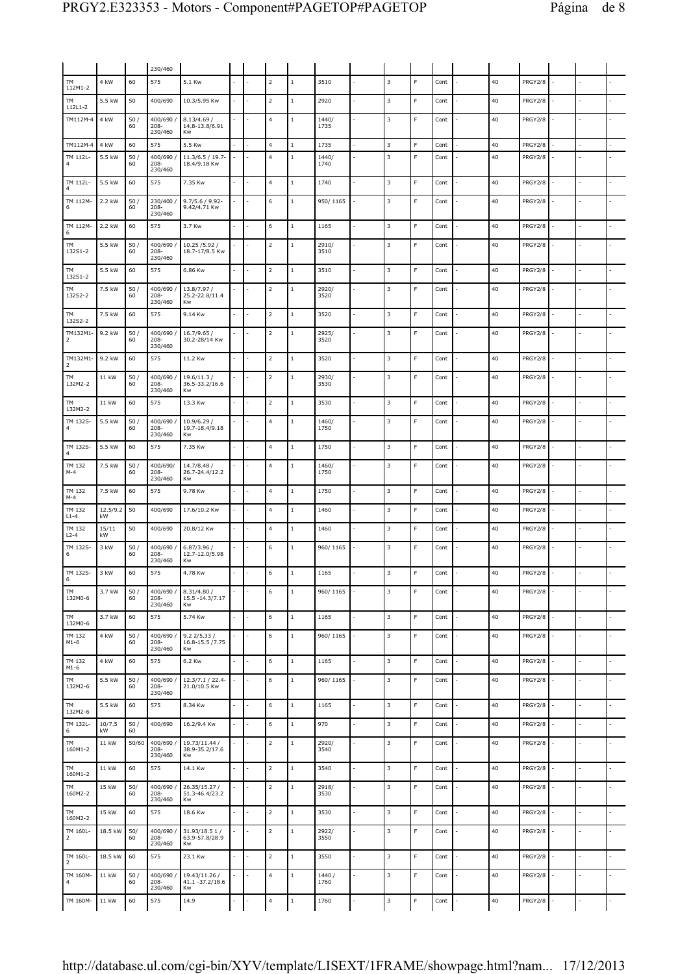|                      |                |           | 230/460                         |                                              |    |    |                |              |               |                          |                |             |      |    |    |         |    |    |
|----------------------|----------------|-----------|---------------------------------|----------------------------------------------|----|----|----------------|--------------|---------------|--------------------------|----------------|-------------|------|----|----|---------|----|----|
| <b>TM</b><br>112M1-2 | 4 kW           | 60        | 575                             | 5.1 Kw                                       |    |    | 2              | 1            | 3510          |                          | 3              | F           | Cont |    | 40 | PRGY2/8 |    |    |
| <b>TM</b><br>112L1-2 | 5.5 kW         | 50        | 400/690                         | 10.3/5.95 Kw                                 |    | ٠  | $\overline{2}$ | 1            | 2920          |                          | 3              | F           | Cont |    | 40 | PRGY2/8 |    |    |
| TM112M-4             | 4 kW           | 50/<br>60 | 400/690 /<br>$208 -$<br>230/460 | 8.13/4.69/<br>14.8-13.8/6.91<br><b>Kw</b>    |    |    | $\overline{4}$ | 1            | 1440/<br>1735 |                          | 3              | F           | Cont |    | 40 | PRGY2/8 |    |    |
| TM112M-4             | 4 kW           | 60        | 575                             | 5.5 Kw                                       |    |    | 4              | $\mathbf{1}$ | 1735          |                          | 3              | F           | Cont |    | 40 | PRGY2/8 |    |    |
| TM 112L-             | 5.5 kW         | 50/<br>60 | 400/690 /<br>208-<br>230/460    | $11.3/6.5/19.7-$<br>18.4/9.18 Kw             |    |    | $\overline{4}$ | 1            | 1440/<br>1740 |                          | 3              | F           | Cont |    | 40 | PRGY2/8 |    |    |
| TM 112L-<br>4        | 5.5 kW         | 60        | 575                             | 7.35 Kw                                      |    |    | 4              | $\mathbf{1}$ | 1740          |                          | 3              | F           | Cont |    | 40 | PRGY2/8 |    |    |
| TM 112M-<br>6        | 2.2 kW         | 50/<br>60 | 230/400<br>$208 -$<br>230/460   | $9.7/5.6 / 9.92 -$<br>9.42/4.71 Kw           |    |    | 6              | 1            | 950/1165      |                          | 3              | F           | Cont |    | 40 | PRGY2/8 |    |    |
| TM 112M-<br>6        | 2.2 kW         | 60        | 575                             | 3.7 Kw                                       | ÷, | ×, | 6              | 1            | 1165          |                          | 3              | F           | Cont |    | 40 | PRGY2/8 | ÷, |    |
| TM<br>132S1-2        | 5.5 kW         | 50/<br>60 | 400/690 /<br>208-<br>230/460    | 10.25 / 5.92 /<br>18.7-17/8.5 Kw             |    |    | $\overline{2}$ | $\mathbf{1}$ | 2910/<br>3510 |                          | 3              | F           | Cont |    | 40 | PRGY2/8 |    |    |
| TM<br>132S1-2        | 5.5 kW         | 60        | 575                             | 6.86 Kw                                      |    |    | 2              | 1            | 3510          |                          | 3              | F           | Cont |    | 40 | PRGY2/8 |    |    |
| <b>TM</b><br>132S2-2 | 7.5 kW         | 50/<br>60 | 400/690<br>$208 -$<br>230/460   | 13.8/7.97/<br>25.2-22.8/11.4<br>Kw           |    |    | $\overline{2}$ | 1            | 2920/<br>3520 |                          | 3              | F           | Cont |    | 40 | PRGY2/8 |    |    |
| TM<br>132S2-2        | 7.5 kW         | 60        | 575                             | 9.14 Kw                                      |    |    | $\overline{2}$ | $\mathbf{1}$ | 3520          |                          | $\mathsf 3$    | $\mathsf F$ | Cont |    | 40 | PRGY2/8 |    |    |
| TM132M1-<br>2        | 9.2 kW         | 50/<br>60 | 400/690<br>208-<br>230/460      | 16.7/9.65/<br>30.2-28/14 Kw                  |    | ä, | $\overline{2}$ | $\mathbf{1}$ | 2925/<br>3520 |                          | 3              | F           | Cont |    | 40 | PRGY2/8 |    |    |
| TM132M1-<br>2        | 9.2 kW         | 60        | 575                             | 11.2 Kw                                      | ä, |    | $\overline{2}$ | $\mathbf{1}$ | 3520          |                          | 3              | F           | Cont |    | 40 | PRGY2/8 |    |    |
| TM<br>132M2-2        | 11 kW          | 50/<br>60 | 400/690 /<br>$208 -$<br>230/460 | 19.6/11.3/<br>36.5-33.2/16.6<br>Kw           |    |    | $\overline{2}$ | $1\,$        | 2930/<br>3530 |                          | 3              | F           | Cont |    | 40 | PRGY2/8 |    |    |
| TM<br>132M2-2        | 11 kW          | 60        | 575                             | 13.3 Kw                                      |    | ÷. | $\overline{2}$ | $\mathbf{1}$ | 3530          |                          | 3              | $\mathsf F$ | Cont |    | 40 | PRGY2/8 |    |    |
| TM 132S<br>4         | 5.5 kW         | 50/<br>60 | 400/690<br>$208 -$<br>230/460   | 10.9/6.29 /<br>19.7-18.4/9.18<br>Kw          |    |    | 4              | $1\,$        | 1460/<br>1750 |                          | 3              | F           | Cont |    | 40 | PRGY2/8 |    |    |
| TM 132S-<br>4        | 5.5 kW         | 60        | 575                             | 7.35 Kw                                      |    |    | $\overline{4}$ | $\mathbf{1}$ | 1750          |                          | 3              | F           | Cont |    | 40 | PRGY2/8 |    |    |
| TM 132<br>$M-4$      | 7.5 kW         | 50/<br>60 | 400/690/<br>$208 -$<br>230/460  | 14.7/8.48 /<br>26.7-24.4/12.2<br>Kw          |    |    | 4              | 1            | 1460/<br>1750 |                          | 3              | F           | Cont |    | 40 | PRGY2/8 |    |    |
| TM 132<br>$M-4$      | 7.5 kW         | 60        | 575                             | 9.78 Kw                                      |    |    | 4              | 1            | 1750          |                          | 3              | F           | Cont |    | 40 | PRGY2/8 |    |    |
| TM 132<br>$L1-4$     | 12.5/9.2<br>kW | 50        | 400/690                         | 17.6/10.2 Kw                                 |    |    | 4              | $1\,$        | 1460          |                          | 3              | F           | Cont |    | 40 | PRGY2/8 |    |    |
| TM 132<br>$L2-4$     | 15/11<br>kW    | 50        | 400/690                         | 20.8/12 Kw                                   |    |    | $\overline{4}$ | $\mathbf{1}$ | 1460          |                          | 3              | F           | Cont |    | 40 | PRGY2/8 |    |    |
| TM 132S-<br>6        | 3 kW           | 50/<br>60 | 400/690<br>208-<br>230/460      | 6.87/3.96/<br>12.7-12.0/5.98<br>Kw           |    |    | 6              | $\mathbf{1}$ | 960/1165      |                          | 3              | F           | Cont |    | 40 | PRGY2/8 |    |    |
| TM 132S-<br>6        | 3 kW           | 60        | 575                             | 4.78 Kw                                      |    | ä, | 6              | $1\,$        | 1165          |                          | 3              | F           | Cont | ä, | 40 | PRGY2/8 |    |    |
| TM<br>132M0-6        | 3.7 kW         | 50/<br>60 | 400/690 /<br>$208 -$<br>230/460 | 8.31/4.80/<br>15.5 - 14.3/7.17<br>Kw         |    |    | 6              | 1            | 960/1165      |                          | 3              | F           | Cont |    | 40 | PRGY2/8 |    |    |
| TM<br>132M0-6        | 3.7 kW         | 60        | 575                             | 5.74 Kw                                      |    |    | 6              | $\mathbf{1}$ | 1165          |                          | $\mathsf 3$    | $\mathsf F$ | Cont |    | 40 | PRGY2/8 |    |    |
| TM 132<br>$M1-6$     | 4 kW           | 50/<br>60 | 400/690 /<br>$208 -$<br>230/460 | 9.22/5.33/<br>16.8-15.5 / 7.75<br>Kw         |    |    | 6              | $\mathbf{1}$ | 960/1165      | $\overline{\phantom{a}}$ | 3              | F           | Cont |    | 40 | PRGY2/8 |    | ä, |
| TM 132<br>$M1-6$     | 4 kW           | 60        | 575                             | 6.2 Kw                                       |    | ä, | 6              | $1\,$        | 1165          |                          | 3              | $\mathsf F$ | Cont |    | 40 | PRGY2/8 |    |    |
| TM<br>132M2-6        | 5.5 kW         | 50/<br>60 | 400/690<br>$208 -$<br>230/460   | 12.3/7.1 / 22.4-<br>21.0/10.5 Kw             |    |    | 6              | $\mathbf{1}$ | 960/1165      |                          | 3              | $\mathsf F$ | Cont |    | 40 | PRGY2/8 |    |    |
| TM<br>132M2-6        | 5.5 kW         | 60        | 575                             | 8.34 Kw                                      | ä, | L. | 6              | $\mathbf{1}$ | 1165          | ×,                       | $\overline{3}$ | F           | Cont |    | 40 | PRGY2/8 | ÷, | ×, |
| TM 132L-<br>6        | 10/7.5<br>kW   | 50/<br>60 | 400/690                         | 16.2/9.4 Kw                                  |    |    | 6              | $\mathbf{1}$ | 970           |                          | $\mathsf 3$    | $\mathsf F$ | Cont |    | 40 | PRGY2/8 |    |    |
| TM<br>160M1-2        | 11 kW          | 50/60     | 400/690 /<br>208-<br>230/460    | 19.73/11.44 /<br>38.9-35.2/17.6<br>Kw        |    | ٠  | $\overline{2}$ | $\,$ 1 $\,$  | 2920/<br>3540 |                          | 3              | F           | Cont |    | 40 | PRGY2/8 |    |    |
| TM<br>160M1-2        | 11 kW          | 60        | 575                             | 14.1 Kw                                      | ×, |    | $\overline{2}$ | $1\,$        | 3540          | ÷,                       | $\mathsf 3$    | F           | Cont |    | 40 | PRGY2/8 |    | ä, |
| <b>TM</b><br>160M2-2 | 15 kW          | 50/<br>60 | 400/690 /<br>$208 -$<br>230/460 | 26.35/15.27 /<br>51.3-46.4/23.2<br><b>Kw</b> |    |    | $\overline{2}$ | $\mathbf 1$  | 2918/<br>3530 |                          | 3              | F           | Cont |    | 40 | PRGY2/8 |    |    |
| TM<br>160M2-2        | 15 kW          | 60        | 575                             | 18.6 Kw                                      | ٠  | ÷. | $\overline{2}$ | $\mathbf 1$  | 3530          | ×,                       | 3              | $\mathsf F$ | Cont | ä, | 40 | PRGY2/8 |    | ÷. |
| TM 160L-<br>2        | 18.5 kW        | 50/<br>60 | 400/690<br>$208 -$<br>230/460   | 31.93/18.51/<br>63.9-57.8/28.9<br>Kw         |    |    | $\overline{2}$ | $1\,$        | 2922/<br>3550 |                          | 3              | F           | Cont |    | 40 | PRGY2/8 |    |    |
| TM 160L-<br>2        | 18.5 kW        | 60        | 575                             | 23.1 Kw                                      |    |    | $\overline{2}$ | $\mathbf 1$  | 3550          |                          | 3              | F           | Cont |    | 40 | PRGY2/8 |    |    |
| TM 160M-<br>4        | 11 kW          | 50/<br>60 | 400/690<br>$208 -$<br>230/460   | 19.43/11.26 /<br>41.1 - 37.2/18.6<br>Kw      |    | ÷, | $\overline{4}$ | $\mathbf{1}$ | 1440/<br>1760 | ä,                       | 3              | F           | Cont |    | 40 | PRGY2/8 |    | ÷, |
| TM 160M-             | 11 kW          | 60        | 575                             | 14.9                                         |    |    | 4              | $1\,$        | 1760          |                          | 3              | F           | Cont |    | 40 | PRGY2/8 |    |    |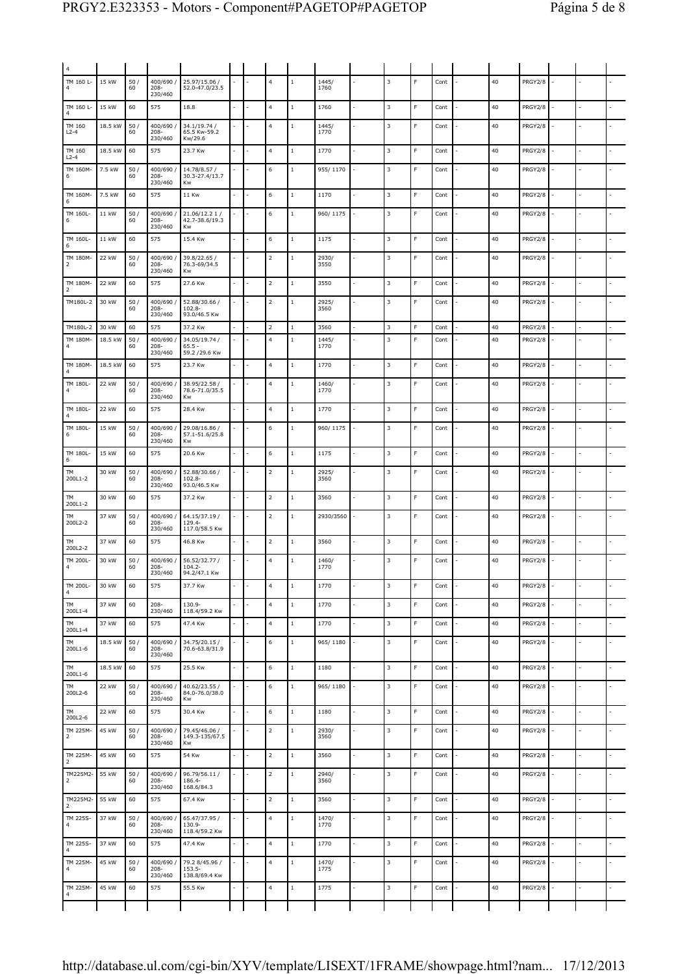| TM 160 L-            | 15 kW   | 50/<br>60             | 400/690 /<br>$208 -$<br>230/460 | 25.97/15.06 /<br>52.0-47.0/23.5             |    |                          | 4                       | 1            | 1445/<br>1760 |                          | 3                       | F           | Cont | 40 | PRGY2/8 |                          |    |
|----------------------|---------|-----------------------|---------------------------------|---------------------------------------------|----|--------------------------|-------------------------|--------------|---------------|--------------------------|-------------------------|-------------|------|----|---------|--------------------------|----|
| TM 160 L-            | 15 kW   | 60                    | 575                             | 18.8                                        |    | ÷,                       | $\overline{4}$          | $\mathbf{1}$ | 1760          | ÷.                       | 3                       | F           | Cont | 40 | PRGY2/8 |                          |    |
| TM 160<br>$L2-4$     | 18.5 kW | 50 <sub>1</sub><br>60 | 400/690<br>208-<br>230/460      | 34.1/19.74 /<br>65.5 Kw-59.2<br>Kw/29.6     |    |                          | 4                       | $\mathbf{1}$ | 1445/<br>1770 |                          | 3                       | F           | Cont | 40 | PRGY2/8 |                          |    |
| TM 160<br>$L2-4$     | 18.5 kW | 60                    | 575                             | 23.7 Kw                                     |    |                          | 4                       | $1\,$        | 1770          |                          | 3                       | F           | Cont | 40 | PRGY2/8 |                          |    |
| TM 160M-<br>6        | 7.5 kW  | 50/<br>60             | 400/690 /<br>$208 -$<br>230/460 | 14.78/8.57 /<br>30.3-27.4/13.7<br>Kw        |    | Ĭ.                       | 6                       | $\mathbf{1}$ | 955/1170      |                          | 3                       | F           | Cont | 40 | PRGY2/8 |                          |    |
| TM 160M-<br>6        | 7.5 kW  | 60                    | 575                             | 11 Kw                                       |    |                          | 6                       | $\,$ 1       | 1170          |                          | 3                       | F           | Cont | 40 | PRGY2/8 |                          |    |
| TM 160L-<br>6        | 11 kW   | 50/<br>60             | 400/690<br>208-<br>230/460      | 21.06/12.21/<br>42.7-38.6/19.3<br>Kw        |    |                          | 6                       | $\,$ 1       | 960/1175      | ٠                        | 3                       | F           | Cont | 40 | PRGY2/8 |                          |    |
| TM 160L-<br>6        | 11 kW   | 60                    | 575                             | 15.4 Kw                                     |    | ÷,                       | 6                       | $\mathbf{1}$ | 1175          |                          | 3                       | F           | Cont | 40 | PRGY2/8 |                          |    |
| TM 180M-<br>2        | 22 kW   | 50/<br>60             | 400/690<br>$208 -$<br>230/460   | 39.8/22.65 /<br>76.3-69/34.5<br>Kw          |    |                          | $\overline{2}$          | 1            | 2930/<br>3550 |                          | 3                       | F           | Cont | 40 | PRGY2/8 |                          |    |
| TM 180M-<br>2        | 22 kW   | 60                    | 575                             | 27.6 Kw                                     |    | ä,                       | $\overline{2}$          | $\,$ 1       | 3550          | ÷.                       | 3                       | F           | Cont | 40 | PRGY2/8 | ÷,                       |    |
| TM180L-2             | 30 kW   | 50/<br>60             | 400/690 /<br>-208<br>230/460    | 52.88/30.66 /<br>102.8-<br>93.0/46.5 Kw     |    |                          | 2                       | $\mathbf{1}$ | 2925/<br>3560 |                          | 3                       | F           | Cont | 40 | PRGY2/8 |                          |    |
| TM180L-2             | 30 kW   | 60                    | 575                             | 37.2 Kw                                     |    |                          | $\overline{2}$          | 1            | 3560          |                          | 3                       | F           | Cont | 40 | PRGY2/8 |                          |    |
| TM 180M-             | 18.5 kW | 50/<br>60             | 400/690<br>$208 -$<br>230/460   | 34.05/19.74 /<br>$65.5 -$<br>59.2 / 29.6 Kw |    |                          | 4                       | $\mathbf{1}$ | 1445/<br>1770 |                          | 3                       | F           | Cont | 40 | PRGY2/8 |                          |    |
| TM 180M-             | 18.5 kW | 60                    | 575                             | 23.7 Kw                                     |    |                          | 4                       | $\mathbf{1}$ | 1770          |                          | 3                       | F           | Cont | 40 | PRGY2/8 |                          |    |
| TM 180L-             | 22 kW   | 50/<br>60             | 400/690<br>208-<br>230/460      | 38.95/22.58 /<br>78.6-71.0/35.5<br>Kw       |    | ä,                       | 4                       | 1            | 1460/<br>1770 | ä,                       | 3                       | F           | Cont | 40 | PRGY2/8 |                          |    |
| TM 180L-<br>4        | 22 kW   | 60                    | 575                             | 28.4 Kw                                     |    | ÷,                       | $\overline{a}$          | 1            | 1770          |                          | 3                       | F           | Cont | 40 | PRGY2/8 |                          |    |
| TM 180L-<br>6        | 15 kW   | 50 <sub>1</sub><br>60 | 400/690<br>208-<br>230/460      | 29.08/16.86 /<br>57.1-51.6/25.8<br>Kw       |    |                          | 6                       | $\,1\,$      | 960/1175      |                          | 3                       | F           | Cont | 40 | PRGY2/8 |                          |    |
| TM 180L-<br>6        | 15 kW   | 60                    | 575                             | 20.6 Kw                                     |    | ٠                        | 6                       | $\mathbf{1}$ | 1175          | $\overline{\phantom{a}}$ | 3                       | F           | Cont | 40 | PRGY2/8 |                          |    |
| TM<br>200L1-2        | 30 kW   | 50/<br>60             | 400/690<br>$208 -$<br>230/460   | 52.88/30.66 /<br>102.8-<br>93.0/46.5 Kw     |    |                          | $\overline{2}$          | $\mathbf{1}$ | 2925/<br>3560 |                          | 3                       | F           | Cont | 40 | PRGY2/8 |                          |    |
| <b>TM</b><br>200L1-2 | 30 kW   | 60                    | 575                             | 37.2 Kw                                     |    |                          | $\overline{2}$          | $\,1\,$      | 3560          |                          | 3                       | F           | Cont | 40 | PRGY2/8 |                          |    |
| TM<br>200L2-2        | 37 kW   | 50/<br>60             | 400/690<br>$208 -$<br>230/460   | 64.15/37.19 /<br>129.4-<br>117.0/58.5 Kw    |    | ÷,                       | $\overline{2}$          | $\mathbf{1}$ | 2930/3560     |                          | 3                       | F           | Cont | 40 | PRGY2/8 |                          |    |
| TM<br>200L2-2        | 37 kW   | 60                    | 575                             | 46.8 Kw                                     |    |                          | 2                       | $\mathbf{1}$ | 3560          |                          | 3                       | F           | Cont | 40 | PRGY2/8 |                          |    |
| TM 200L-<br>4        | 30 kW   | 50/<br>60             | 400/690 /<br>$208 -$<br>230/460 | 56.52/32.77 /<br>$104.2 -$<br>94.2/47.1 Kw  |    |                          | 4                       | 1            | 1460/<br>1770 |                          | 3                       | F           | Cont | 40 | PRGY2/8 |                          |    |
| TM 200L-<br>4        | 30 kW   | 60                    | 575                             | 37.7 Kw                                     | ä, | ÷,                       | $\overline{4}$          | $\,$ 1       | 1770          |                          | $\mathsf 3$             | F           | Cont | 40 | PRGY2/8 |                          |    |
| <b>TM</b><br>200L1-4 | 37 kW   | 60                    | $208 -$<br>230/460              | 130.9-<br>118.4/59.2 Kw                     |    |                          | 4                       | $1\,$        | 1770          | i,                       | $\overline{\mathbf{3}}$ | F           | Cont | 40 | PRGY2/8 | $\overline{\phantom{a}}$ |    |
| TM<br>200L1-4        | 37 kW   | 60                    | 575                             | 47.4 Kw                                     |    | $\overline{\phantom{a}}$ | $\overline{4}$          | $\,$ 1 $\,$  | 1770          | ٠                        | 3                       | F           | Cont | 40 | PRGY2/8 | $\sim$                   | ä, |
| TM<br>200L1-6        | 18.5 kW | 50/<br>60             | 400/690 /<br>208-<br>230/460    | 34.75/20.15 /<br>70.6-63.8/31.9             |    |                          | 6                       | $\,1\,$      | 965/1180      |                          | 3                       | F           | Cont | 40 | PRGY2/8 | ÷.                       |    |
| TM<br>200L1-6        | 18.5 kW | 60                    | 575                             | 25.5 Kw                                     |    | i.                       | 6                       | $1\,$        | 1180          |                          | 3                       | $\mathsf F$ | Cont | 40 | PRGY2/8 |                          |    |
| TM<br>200L2-6        | 22 kW   | 50/<br>60             | 400/690 /<br>$208 -$<br>230/460 | 40.62/23.55 /<br>84.0-76.0/38.0<br>Kw       |    |                          | 6                       | $\,1\,$      | 965/1180      |                          | 3                       | F           | Cont | 40 | PRGY2/8 | ÷,                       |    |
| TM<br>200L2-6        | 22 kW   | 60                    | 575                             | 30.4 Kw                                     |    |                          | 6                       | $\mathbf{1}$ | 1180          | ÷.                       | 3                       | F           | Cont | 40 | PRGY2/8 |                          |    |
| TM 225M-<br>2        | 45 kW   | 50/<br>60             | 400/690<br>208-<br>230/460      | 79.45/46.06 /<br>149.3-135/67.5<br>Kw       |    | ٠                        | 2                       | $\mathbf{1}$ | 2930/<br>3560 | ٠                        | 3                       | F           | Cont | 40 | PRGY2/8 |                          |    |
| TM 225M-<br>2        | 45 kW   | 60                    | 575                             | 54 Kw                                       |    | i,                       | $\overline{2}$          | $1\,$        | 3560          | $\overline{\phantom{a}}$ | 3                       | F           | Cont | 40 | PRGY2/8 | $\overline{\phantom{a}}$ | i, |
| TM225M2-<br>2        | 55 kW   | 50/<br>60             | 400/690 /<br>$208 -$<br>230/460 | 96.79/56.11 /<br>186.4-<br>168.6/84.3       |    | ä,                       | $\overline{2}$          | $1\,$        | 2940/<br>3560 | ÷,                       | $\overline{\mathbf{3}}$ | F           | Cont | 40 | PRGY2/8 | ×.                       |    |
| TM225M2-<br>2        | 55 kW   | 60                    | 575                             | 67.4 Kw                                     |    | ٠                        | $\overline{2}$          | $\mathbf{1}$ | 3560          | ٠                        | 3                       | F           | Cont | 40 | PRGY2/8 | ٠                        |    |
| TM 225S-<br>4        | 37 kW   | 50/<br>60             | 400/690 /<br>$208 -$<br>230/460 | 65.47/37.95 /<br>130.9-<br>118.4/59.2 Kw    |    | ٠                        | $\overline{4}$          | $\mathbf{1}$ | 1470/<br>1770 | $\overline{\phantom{a}}$ | 3                       | F           | Cont | 40 | PRGY2/8 | ÷,                       |    |
| TM 225S-<br>4        | 37 kW   | 60                    | 575                             | 47.4 Kw                                     |    | ÷,                       | $\overline{4}$          | $\,$ 1 $\,$  | 1770          | ÷,                       | 3                       | F           | Cont | 40 | PRGY2/8 | $\overline{\phantom{a}}$ |    |
| TM 225M-<br>4        | 45 kW   | 50/<br>60             | 400/690<br>208-<br>230/460      | 79.28/45.96 /<br>153.5-<br>138.8/69.4 Kw    |    | ä,                       | $\overline{\mathbf{4}}$ | $\mathbf{1}$ | 1470/<br>1775 | ٠                        | 3                       | F           | Cont | 40 | PRGY2/8 | ٠                        |    |
| TM 225M-<br>4        | 45 kW   | 60                    | 575                             | 55.5 Kw                                     |    | ä,                       | 4                       | $\,1\,$      | 1775          | ÷,                       | 3                       | F           | Cont | 40 | PRGY2/8 | ×.                       |    |
|                      |         |                       |                                 |                                             |    |                          |                         |              |               |                          |                         |             |      |    |         |                          |    |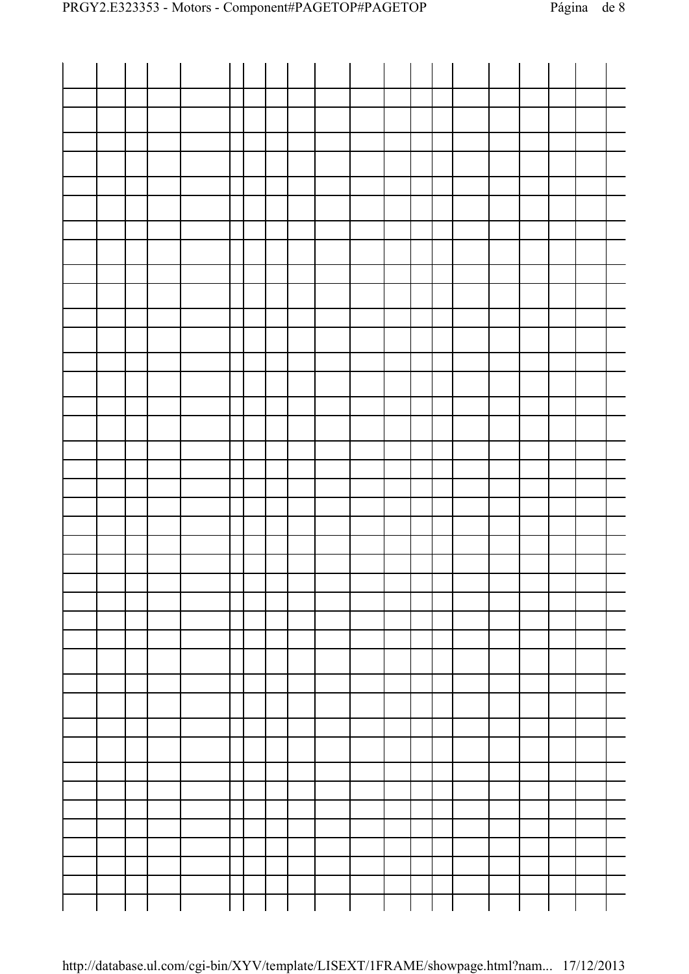| $\Box$ | $\mathbf{I}$ | $\begin{bmatrix} 1 & 1 \\ 1 & 1 \end{bmatrix}$ |  |  |  |  |  | $\mathbf{L}$ | $\mathbf{L}$ | $\left  \right $ | $\mathbf{I}$ | $\overline{\mathbb{F}}$ |
|--------|--------------|------------------------------------------------|--|--|--|--|--|--------------|--------------|------------------|--------------|-------------------------|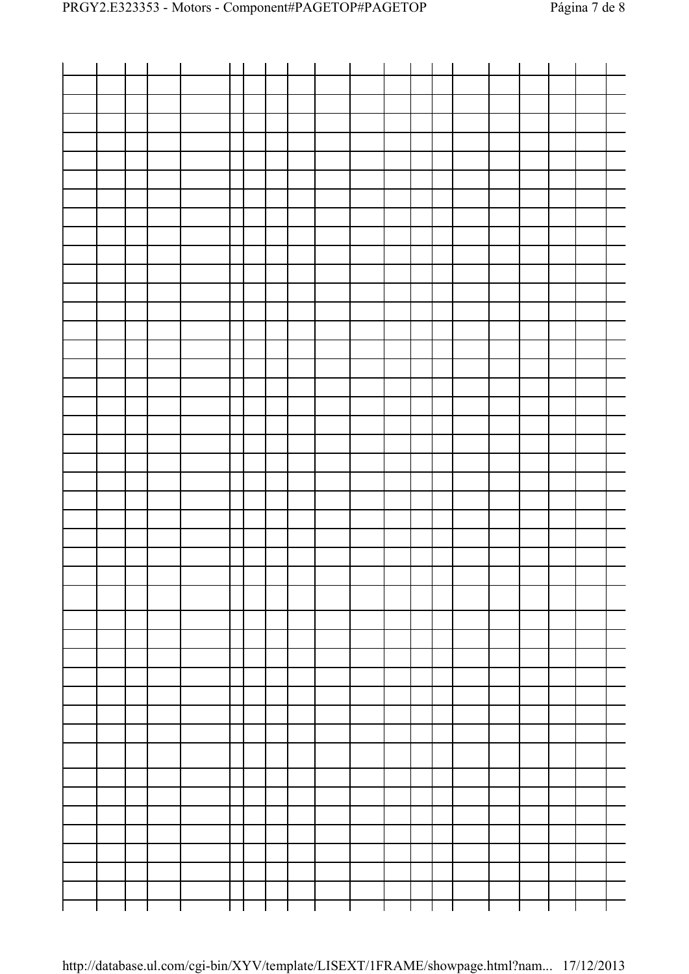| $\overline{\phantom{0}}$ |  |  |  |  |  |  |  |  |  |  |
|--------------------------|--|--|--|--|--|--|--|--|--|--|
|                          |  |  |  |  |  |  |  |  |  |  |
|                          |  |  |  |  |  |  |  |  |  |  |